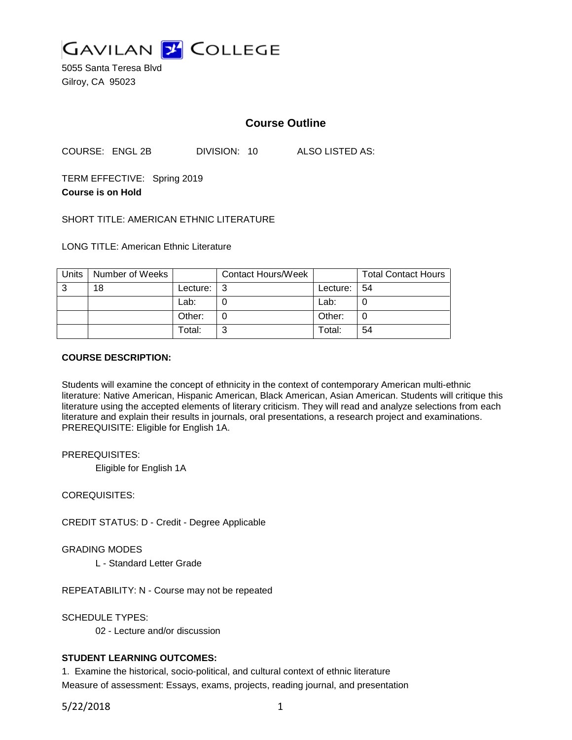

5055 Santa Teresa Blvd Gilroy, CA 95023

# **Course Outline**

COURSE: ENGL 2B DIVISION: 10 ALSO LISTED AS:

TERM EFFECTIVE: Spring 2019 **Course is on Hold**

SHORT TITLE: AMERICAN ETHNIC LITERATURE

LONG TITLE: American Ethnic Literature

| <b>Units</b> | Number of Weeks |                    | <b>Contact Hours/Week</b> |                 | <b>Total Contact Hours</b> |
|--------------|-----------------|--------------------|---------------------------|-----------------|----------------------------|
| -3           | 18              | Lecture: $\vert$ 3 |                           | Lecture: $  54$ |                            |
|              |                 | Lab:               |                           | Lab:            |                            |
|              |                 | Other:             |                           | Other:          |                            |
|              |                 | Total:             |                           | Total:          | 54                         |

### **COURSE DESCRIPTION:**

Students will examine the concept of ethnicity in the context of contemporary American multi-ethnic literature: Native American, Hispanic American, Black American, Asian American. Students will critique this literature using the accepted elements of literary criticism. They will read and analyze selections from each literature and explain their results in journals, oral presentations, a research project and examinations. PREREQUISITE: Eligible for English 1A.

PREREQUISITES:

Eligible for English 1A

COREQUISITES:

CREDIT STATUS: D - Credit - Degree Applicable

GRADING MODES

L - Standard Letter Grade

REPEATABILITY: N - Course may not be repeated

SCHEDULE TYPES:

02 - Lecture and/or discussion

## **STUDENT LEARNING OUTCOMES:**

1. Examine the historical, socio-political, and cultural context of ethnic literature Measure of assessment: Essays, exams, projects, reading journal, and presentation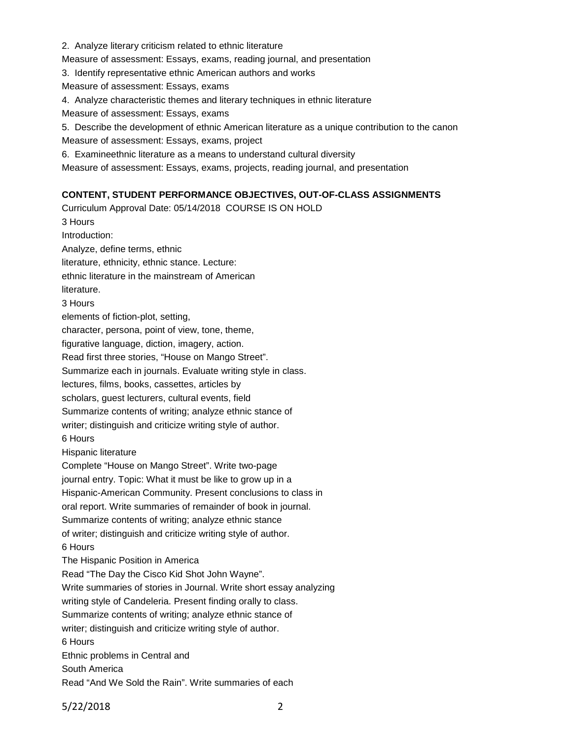2. Analyze literary criticism related to ethnic literature Measure of assessment: Essays, exams, reading journal, and presentation 3. Identify representative ethnic American authors and works Measure of assessment: Essays, exams 4. Analyze characteristic themes and literary techniques in ethnic literature Measure of assessment: Essays, exams 5. Describe the development of ethnic American literature as a unique contribution to the canon Measure of assessment: Essays, exams, project 6. Examineethnic literature as a means to understand cultural diversity Measure of assessment: Essays, exams, projects, reading journal, and presentation

### **CONTENT, STUDENT PERFORMANCE OBJECTIVES, OUT-OF-CLASS ASSIGNMENTS**

Curriculum Approval Date: 05/14/2018 COURSE IS ON HOLD 3 Hours Introduction: Analyze, define terms, ethnic literature, ethnicity, ethnic stance. Lecture: ethnic literature in the mainstream of American literature. 3 Hours elements of fiction-plot, setting, character, persona, point of view, tone, theme, figurative language, diction, imagery, action. Read first three stories, "House on Mango Street". Summarize each in journals. Evaluate writing style in class. lectures, films, books, cassettes, articles by scholars, guest lecturers, cultural events, field Summarize contents of writing; analyze ethnic stance of writer; distinguish and criticize writing style of author. 6 Hours Hispanic literature Complete "House on Mango Street". Write two-page journal entry. Topic: What it must be like to grow up in a Hispanic-American Community. Present conclusions to class in oral report. Write summaries of remainder of book in journal. Summarize contents of writing; analyze ethnic stance of writer; distinguish and criticize writing style of author. 6 Hours The Hispanic Position in America Read "The Day the Cisco Kid Shot John Wayne". Write summaries of stories in Journal. Write short essay analyzing writing style of Candeleria. Present finding orally to class. Summarize contents of writing; analyze ethnic stance of writer; distinguish and criticize writing style of author. 6 Hours Ethnic problems in Central and South America Read "And We Sold the Rain". Write summaries of each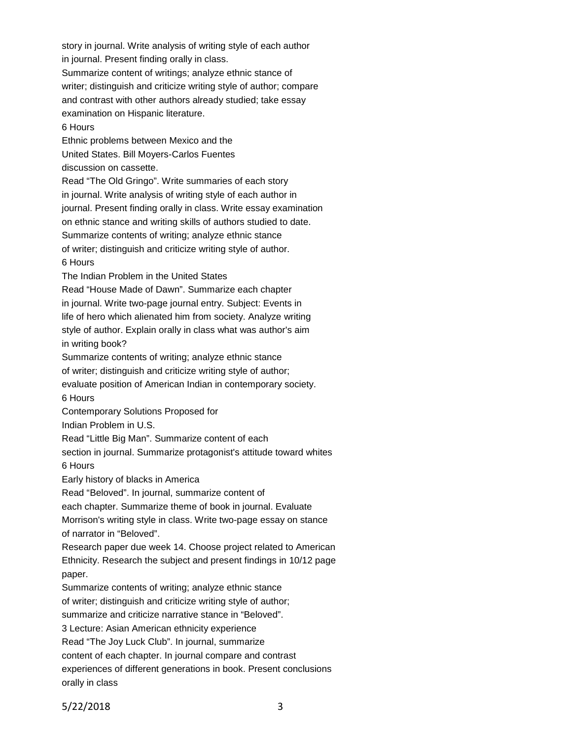story in journal. Write analysis of writing style of each author in journal. Present finding orally in class. Summarize content of writings; analyze ethnic stance of writer; distinguish and criticize writing style of author; compare and contrast with other authors already studied; take essay examination on Hispanic literature. 6 Hours Ethnic problems between Mexico and the United States. Bill Moyers-Carlos Fuentes discussion on cassette. Read "The Old Gringo". Write summaries of each story in journal. Write analysis of writing style of each author in journal. Present finding orally in class. Write essay examination on ethnic stance and writing skills of authors studied to date. Summarize contents of writing; analyze ethnic stance of writer; distinguish and criticize writing style of author. 6 Hours The Indian Problem in the United States Read "House Made of Dawn". Summarize each chapter in journal. Write two-page journal entry. Subject: Events in life of hero which alienated him from society. Analyze writing style of author. Explain orally in class what was author's aim in writing book? Summarize contents of writing; analyze ethnic stance of writer; distinguish and criticize writing style of author; evaluate position of American Indian in contemporary society. 6 Hours Contemporary Solutions Proposed for Indian Problem in U.S. Read "Little Big Man". Summarize content of each section in journal. Summarize protagonist's attitude toward whites 6 Hours Early history of blacks in America Read "Beloved". In journal, summarize content of each chapter. Summarize theme of book in journal. Evaluate Morrison's writing style in class. Write two-page essay on stance of narrator in "Beloved". Research paper due week 14. Choose project related to American Ethnicity. Research the subject and present findings in 10/12 page paper. Summarize contents of writing; analyze ethnic stance of writer; distinguish and criticize writing style of author; summarize and criticize narrative stance in "Beloved". 3 Lecture: Asian American ethnicity experience Read "The Joy Luck Club". In journal, summarize content of each chapter. In journal compare and contrast experiences of different generations in book. Present conclusions orally in class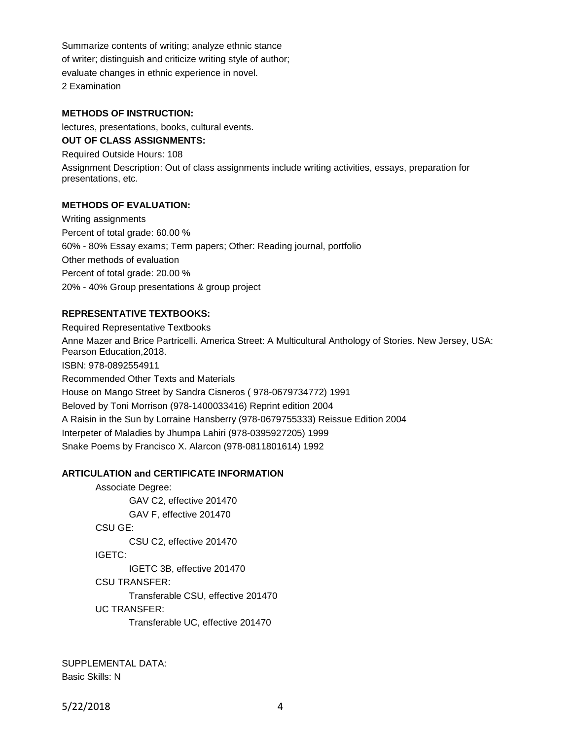Summarize contents of writing; analyze ethnic stance of writer; distinguish and criticize writing style of author; evaluate changes in ethnic experience in novel. 2 Examination

## **METHODS OF INSTRUCTION:**

lectures, presentations, books, cultural events. **OUT OF CLASS ASSIGNMENTS:**

Required Outside Hours: 108 Assignment Description: Out of class assignments include writing activities, essays, preparation for presentations, etc.

## **METHODS OF EVALUATION:**

Writing assignments Percent of total grade: 60.00 % 60% - 80% Essay exams; Term papers; Other: Reading journal, portfolio Other methods of evaluation Percent of total grade: 20.00 % 20% - 40% Group presentations & group project

#### **REPRESENTATIVE TEXTBOOKS:**

Required Representative Textbooks Anne Mazer and Brice Partricelli. America Street: A Multicultural Anthology of Stories. New Jersey, USA: Pearson Education,2018. ISBN: 978-0892554911 Recommended Other Texts and Materials House on Mango Street by Sandra Cisneros ( 978-0679734772) 1991 Beloved by Toni Morrison (978-1400033416) Reprint edition 2004 A Raisin in the Sun by Lorraine Hansberry (978-0679755333) Reissue Edition 2004 Interpeter of Maladies by Jhumpa Lahiri (978-0395927205) 1999 Snake Poems by Francisco X. Alarcon (978-0811801614) 1992

#### **ARTICULATION and CERTIFICATE INFORMATION**

Associate Degree: GAV C2, effective 201470 GAV F, effective 201470 CSU GE: CSU C2, effective 201470 IGETC: IGETC 3B, effective 201470 CSU TRANSFER: Transferable CSU, effective 201470 UC TRANSFER: Transferable UC, effective 201470

SUPPLEMENTAL DATA: Basic Skills: N